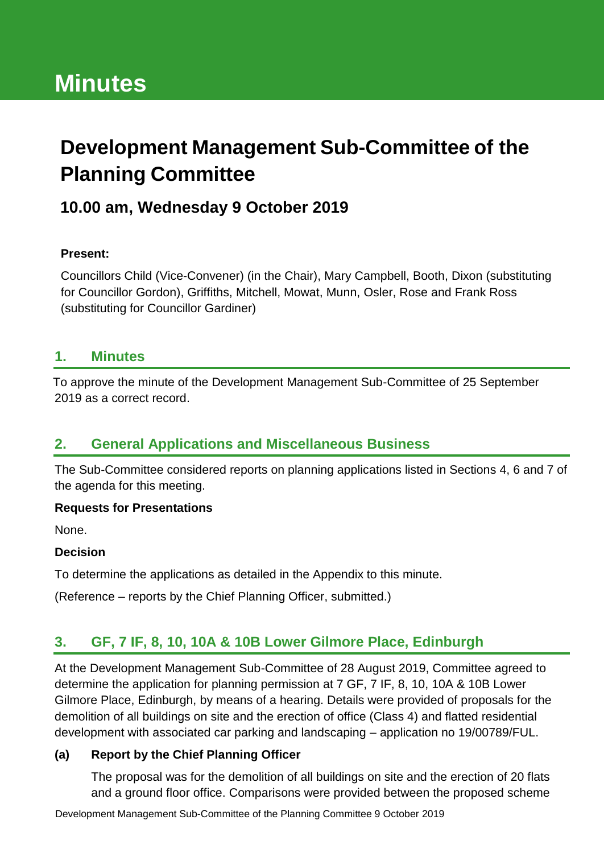# **Minutes**

## **Development Management Sub-Committee of the Planning Committee**

## **10.00 am, Wednesday 9 October 2019**

#### **Present:**

Councillors Child (Vice-Convener) (in the Chair), Mary Campbell, Booth, Dixon (substituting for Councillor Gordon), Griffiths, Mitchell, Mowat, Munn, Osler, Rose and Frank Ross (substituting for Councillor Gardiner)

#### **1. Minutes**

To approve the minute of the Development Management Sub-Committee of 25 September 2019 as a correct record.

#### **2. General Applications and Miscellaneous Business**

The Sub-Committee considered reports on planning applications listed in Sections 4, 6 and 7 of the agenda for this meeting.

#### **Requests for Presentations**

None.

#### **Decision**

To determine the applications as detailed in the Appendix to this minute.

(Reference – reports by the Chief Planning Officer, submitted.)

### **3. GF, 7 IF, 8, 10, 10A & 10B Lower Gilmore Place, Edinburgh**

At the Development Management Sub-Committee of 28 August 2019, Committee agreed to determine the application for planning permission at 7 GF, 7 IF, 8, 10, 10A & 10B Lower Gilmore Place, Edinburgh, by means of a hearing. Details were provided of proposals for the demolition of all buildings on site and the erection of office (Class 4) and flatted residential development with associated car parking and landscaping – application no 19/00789/FUL.

#### **(a) Report by the Chief Planning Officer**

The proposal was for the demolition of all buildings on site and the erection of 20 flats and a ground floor office. Comparisons were provided between the proposed scheme

Development Management Sub-Committee of the Planning Committee 9 October 2019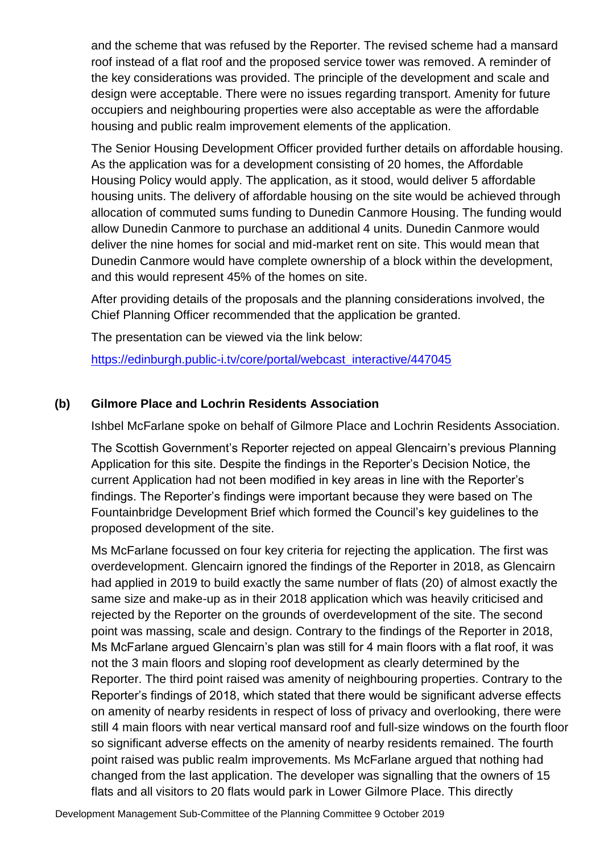and the scheme that was refused by the Reporter. The revised scheme had a mansard roof instead of a flat roof and the proposed service tower was removed. A reminder of the key considerations was provided. The principle of the development and scale and design were acceptable. There were no issues regarding transport. Amenity for future occupiers and neighbouring properties were also acceptable as were the affordable housing and public realm improvement elements of the application.

The Senior Housing Development Officer provided further details on affordable housing. As the application was for a development consisting of 20 homes, the Affordable Housing Policy would apply. The application, as it stood, would deliver 5 affordable housing units. The delivery of affordable housing on the site would be achieved through allocation of commuted sums funding to Dunedin Canmore Housing. The funding would allow Dunedin Canmore to purchase an additional 4 units. Dunedin Canmore would deliver the nine homes for social and mid-market rent on site. This would mean that Dunedin Canmore would have complete ownership of a block within the development, and this would represent 45% of the homes on site.

After providing details of the proposals and the planning considerations involved, the Chief Planning Officer recommended that the application be granted.

The presentation can be viewed via the link below:

[https://edinburgh.public-i.tv/core/portal/webcast\\_interactive/447045](https://edinburgh.public-i.tv/core/portal/webcast_interactive/447045)

#### **(b) Gilmore Place and Lochrin Residents Association**

Ishbel McFarlane spoke on behalf of Gilmore Place and Lochrin Residents Association.

The Scottish Government's Reporter rejected on appeal Glencairn's previous Planning Application for this site. Despite the findings in the Reporter's Decision Notice, the current Application had not been modified in key areas in line with the Reporter's findings. The Reporter's findings were important because they were based on The Fountainbridge Development Brief which formed the Council's key guidelines to the proposed development of the site.

Ms McFarlane focussed on four key criteria for rejecting the application. The first was overdevelopment. Glencairn ignored the findings of the Reporter in 2018, as Glencairn had applied in 2019 to build exactly the same number of flats (20) of almost exactly the same size and make-up as in their 2018 application which was heavily criticised and rejected by the Reporter on the grounds of overdevelopment of the site. The second point was massing, scale and design. Contrary to the findings of the Reporter in 2018, Ms McFarlane argued Glencairn's plan was still for 4 main floors with a flat roof, it was not the 3 main floors and sloping roof development as clearly determined by the Reporter. The third point raised was amenity of neighbouring properties. Contrary to the Reporter's findings of 2018, which stated that there would be significant adverse effects on amenity of nearby residents in respect of loss of privacy and overlooking, there were still 4 main floors with near vertical mansard roof and full-size windows on the fourth floor so significant adverse effects on the amenity of nearby residents remained. The fourth point raised was public realm improvements. Ms McFarlane argued that nothing had changed from the last application. The developer was signalling that the owners of 15 flats and all visitors to 20 flats would park in Lower Gilmore Place. This directly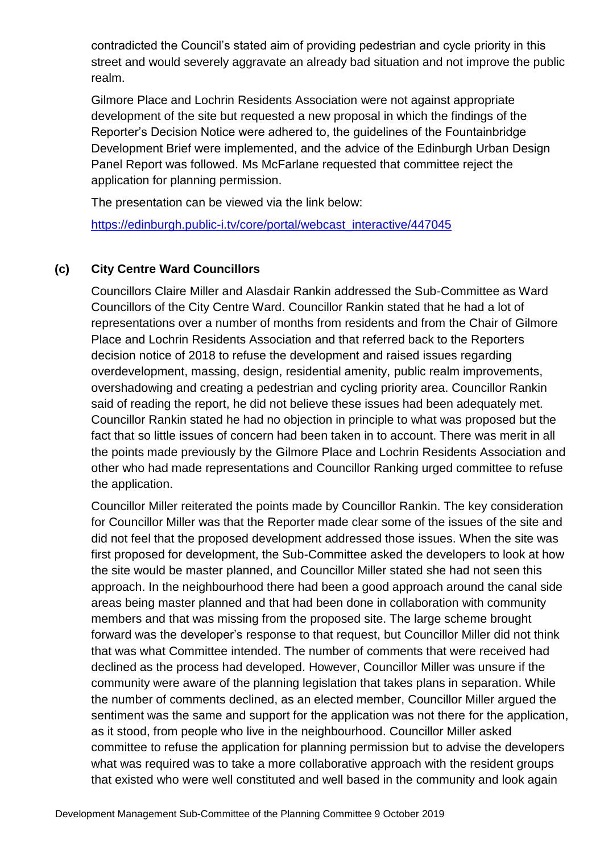contradicted the Council's stated aim of providing pedestrian and cycle priority in this street and would severely aggravate an already bad situation and not improve the public realm.

Gilmore Place and Lochrin Residents Association were not against appropriate development of the site but requested a new proposal in which the findings of the Reporter's Decision Notice were adhered to, the guidelines of the Fountainbridge Development Brief were implemented, and the advice of the Edinburgh Urban Design Panel Report was followed. Ms McFarlane requested that committee reject the application for planning permission.

The presentation can be viewed via the link below:

[https://edinburgh.public-i.tv/core/portal/webcast\\_interactive/447045](https://edinburgh.public-i.tv/core/portal/webcast_interactive/447045)

#### **(c) City Centre Ward Councillors**

Councillors Claire Miller and Alasdair Rankin addressed the Sub-Committee as Ward Councillors of the City Centre Ward. Councillor Rankin stated that he had a lot of representations over a number of months from residents and from the Chair of Gilmore Place and Lochrin Residents Association and that referred back to the Reporters decision notice of 2018 to refuse the development and raised issues regarding overdevelopment, massing, design, residential amenity, public realm improvements, overshadowing and creating a pedestrian and cycling priority area. Councillor Rankin said of reading the report, he did not believe these issues had been adequately met. Councillor Rankin stated he had no objection in principle to what was proposed but the fact that so little issues of concern had been taken in to account. There was merit in all the points made previously by the Gilmore Place and Lochrin Residents Association and other who had made representations and Councillor Ranking urged committee to refuse the application.

Councillor Miller reiterated the points made by Councillor Rankin. The key consideration for Councillor Miller was that the Reporter made clear some of the issues of the site and did not feel that the proposed development addressed those issues. When the site was first proposed for development, the Sub-Committee asked the developers to look at how the site would be master planned, and Councillor Miller stated she had not seen this approach. In the neighbourhood there had been a good approach around the canal side areas being master planned and that had been done in collaboration with community members and that was missing from the proposed site. The large scheme brought forward was the developer's response to that request, but Councillor Miller did not think that was what Committee intended. The number of comments that were received had declined as the process had developed. However, Councillor Miller was unsure if the community were aware of the planning legislation that takes plans in separation. While the number of comments declined, as an elected member, Councillor Miller argued the sentiment was the same and support for the application was not there for the application, as it stood, from people who live in the neighbourhood. Councillor Miller asked committee to refuse the application for planning permission but to advise the developers what was required was to take a more collaborative approach with the resident groups that existed who were well constituted and well based in the community and look again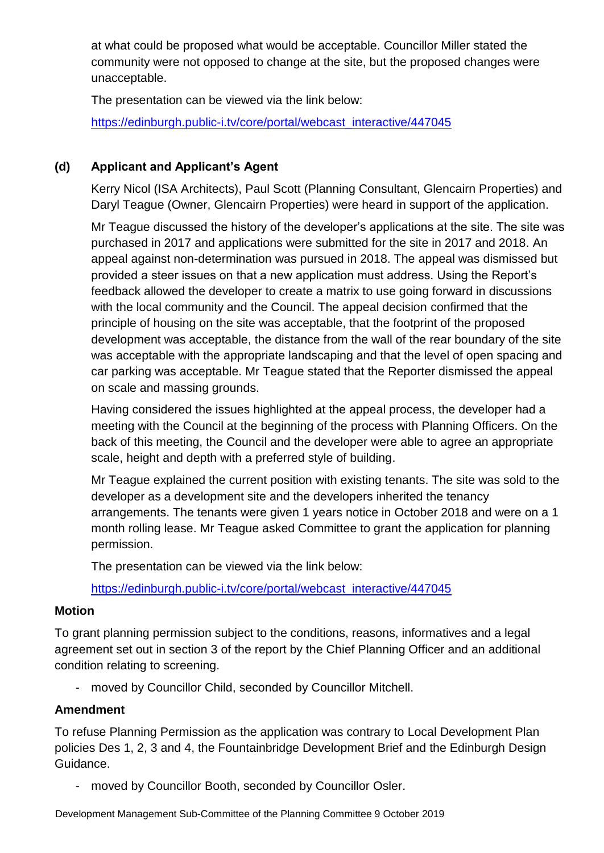at what could be proposed what would be acceptable. Councillor Miller stated the community were not opposed to change at the site, but the proposed changes were unacceptable.

The presentation can be viewed via the link below: [https://edinburgh.public-i.tv/core/portal/webcast\\_interactive/447045](https://edinburgh.public-i.tv/core/portal/webcast_interactive/447045)

#### **(d) Applicant and Applicant's Agent**

Kerry Nicol (ISA Architects), Paul Scott (Planning Consultant, Glencairn Properties) and Daryl Teague (Owner, Glencairn Properties) were heard in support of the application.

Mr Teague discussed the history of the developer's applications at the site. The site was purchased in 2017 and applications were submitted for the site in 2017 and 2018. An appeal against non-determination was pursued in 2018. The appeal was dismissed but provided a steer issues on that a new application must address. Using the Report's feedback allowed the developer to create a matrix to use going forward in discussions with the local community and the Council. The appeal decision confirmed that the principle of housing on the site was acceptable, that the footprint of the proposed development was acceptable, the distance from the wall of the rear boundary of the site was acceptable with the appropriate landscaping and that the level of open spacing and car parking was acceptable. Mr Teague stated that the Reporter dismissed the appeal on scale and massing grounds.

Having considered the issues highlighted at the appeal process, the developer had a meeting with the Council at the beginning of the process with Planning Officers. On the back of this meeting, the Council and the developer were able to agree an appropriate scale, height and depth with a preferred style of building.

Mr Teague explained the current position with existing tenants. The site was sold to the developer as a development site and the developers inherited the tenancy arrangements. The tenants were given 1 years notice in October 2018 and were on a 1 month rolling lease. Mr Teague asked Committee to grant the application for planning permission.

The presentation can be viewed via the link below:

[https://edinburgh.public-i.tv/core/portal/webcast\\_interactive/447045](https://edinburgh.public-i.tv/core/portal/webcast_interactive/447045)

#### **Motion**

To grant planning permission subject to the conditions, reasons, informatives and a legal agreement set out in section 3 of the report by the Chief Planning Officer and an additional condition relating to screening.

- moved by Councillor Child, seconded by Councillor Mitchell.

#### **Amendment**

To refuse Planning Permission as the application was contrary to Local Development Plan policies Des 1, 2, 3 and 4, the Fountainbridge Development Brief and the Edinburgh Design Guidance.

- moved by Councillor Booth, seconded by Councillor Osler.

Development Management Sub-Committee of the Planning Committee 9 October 2019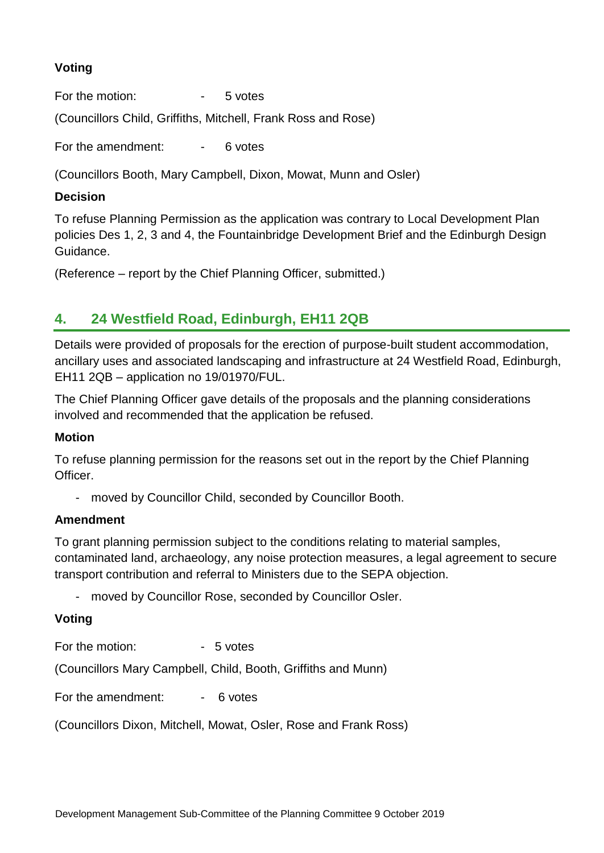#### **Voting**

For the motion:  $\overline{\phantom{a}}$  - 5 votes

(Councillors Child, Griffiths, Mitchell, Frank Ross and Rose)

For the amendment: For the amendment:

(Councillors Booth, Mary Campbell, Dixon, Mowat, Munn and Osler)

#### **Decision**

To refuse Planning Permission as the application was contrary to Local Development Plan policies Des 1, 2, 3 and 4, the Fountainbridge Development Brief and the Edinburgh Design Guidance.

(Reference – report by the Chief Planning Officer, submitted.)

### **4. 24 Westfield Road, Edinburgh, EH11 2QB**

Details were provided of proposals for the erection of purpose-built student accommodation, ancillary uses and associated landscaping and infrastructure at 24 Westfield Road, Edinburgh, EH11 2QB – application no 19/01970/FUL.

The Chief Planning Officer gave details of the proposals and the planning considerations involved and recommended that the application be refused.

#### **Motion**

To refuse planning permission for the reasons set out in the report by the Chief Planning Officer.

- moved by Councillor Child, seconded by Councillor Booth.

#### **Amendment**

To grant planning permission subject to the conditions relating to material samples, contaminated land, archaeology, any noise protection measures, a legal agreement to secure transport contribution and referral to Ministers due to the SEPA objection.

- moved by Councillor Rose, seconded by Councillor Osler.

#### **Voting**

For the motion:  $-5$  votes

(Councillors Mary Campbell, Child, Booth, Griffiths and Munn)

For the amendment: - 6 votes

(Councillors Dixon, Mitchell, Mowat, Osler, Rose and Frank Ross)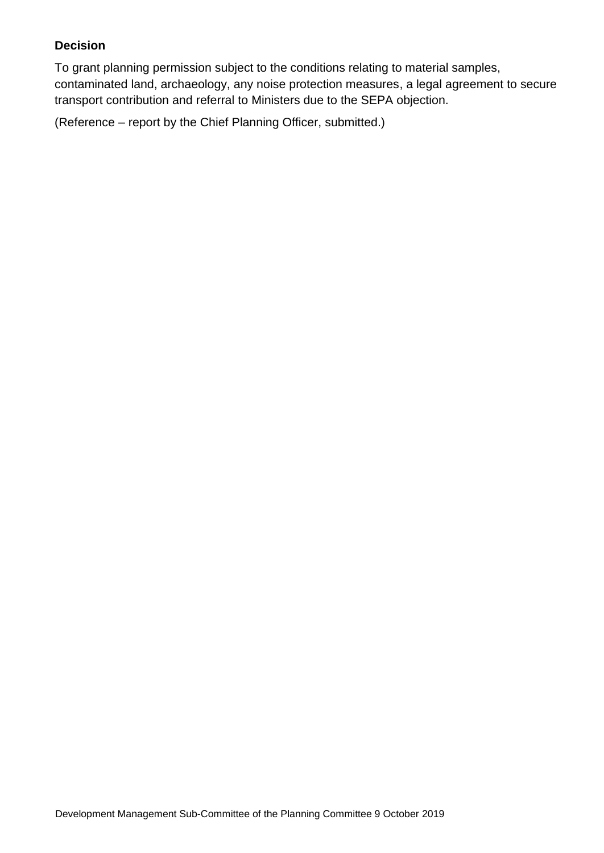#### **Decision**

To grant planning permission subject to the conditions relating to material samples, contaminated land, archaeology, any noise protection measures, a legal agreement to secure transport contribution and referral to Ministers due to the SEPA objection.

(Reference – report by the Chief Planning Officer, submitted.)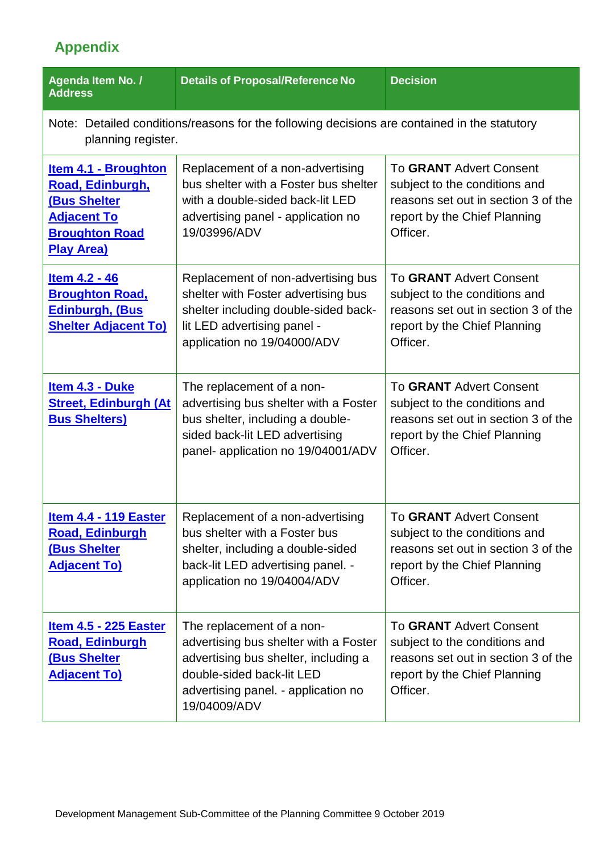## **Appendix**

| <b>Agenda Item No. /</b><br><b>Address</b>                                                                                          | <b>Details of Proposal/Reference No</b>                                                                                                                                                        | <b>Decision</b>                                                                                                                                    |  |  |
|-------------------------------------------------------------------------------------------------------------------------------------|------------------------------------------------------------------------------------------------------------------------------------------------------------------------------------------------|----------------------------------------------------------------------------------------------------------------------------------------------------|--|--|
| Note: Detailed conditions/reasons for the following decisions are contained in the statutory<br>planning register.                  |                                                                                                                                                                                                |                                                                                                                                                    |  |  |
| <b>Item 4.1 - Broughton</b><br>Road, Edinburgh,<br>(Bus Shelter<br><b>Adjacent To</b><br><b>Broughton Road</b><br><b>Play Area)</b> | Replacement of a non-advertising<br>bus shelter with a Foster bus shelter<br>with a double-sided back-lit LED<br>advertising panel - application no<br>19/03996/ADV                            | To GRANT Advert Consent<br>subject to the conditions and<br>reasons set out in section 3 of the<br>report by the Chief Planning<br>Officer.        |  |  |
| Item 4.2 - 46<br><b>Broughton Road,</b><br><b>Edinburgh, (Bus)</b><br><b>Shelter Adjacent To)</b>                                   | Replacement of non-advertising bus<br>shelter with Foster advertising bus<br>shelter including double-sided back-<br>lit LED advertising panel -<br>application no 19/04000/ADV                | To GRANT Advert Consent<br>subject to the conditions and<br>reasons set out in section 3 of the<br>report by the Chief Planning<br>Officer.        |  |  |
| Item 4.3 - Duke<br><b>Street, Edinburgh (At</b><br><b>Bus Shelters)</b>                                                             | The replacement of a non-<br>advertising bus shelter with a Foster<br>bus shelter, including a double-<br>sided back-lit LED advertising<br>panel- application no 19/04001/ADV                 | To GRANT Advert Consent<br>subject to the conditions and<br>reasons set out in section 3 of the<br>report by the Chief Planning<br>Officer.        |  |  |
| <b>Item 4.4 - 119 Easter</b><br><b>Road, Edinburgh</b><br>(Bus Shelter<br><b>Adjacent To)</b>                                       | Replacement of a non-advertising<br>bus shelter with a Foster bus<br>shelter, including a double-sided<br>back-lit LED advertising panel. -<br>application no 19/04004/ADV                     | <b>To GRANT Advert Consent</b><br>subject to the conditions and<br>reasons set out in section 3 of the<br>report by the Chief Planning<br>Officer. |  |  |
| <u>Item 4.5 - 225 Easter</u><br><b>Road, Edinburgh</b><br><b>(Bus Shelter</b><br><b>Adjacent To)</b>                                | The replacement of a non-<br>advertising bus shelter with a Foster<br>advertising bus shelter, including a<br>double-sided back-lit LED<br>advertising panel. - application no<br>19/04009/ADV | <b>To GRANT Advert Consent</b><br>subject to the conditions and<br>reasons set out in section 3 of the<br>report by the Chief Planning<br>Officer. |  |  |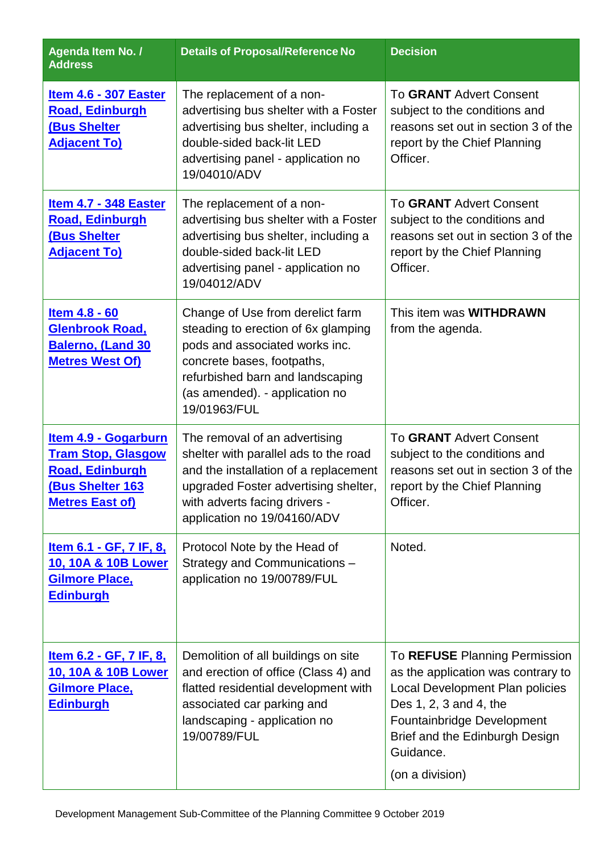| <b>Agenda Item No. /</b><br><b>Address</b>                                                                                              | <b>Details of Proposal/Reference No</b>                                                                                                                                                                                       | <b>Decision</b>                                                                                                                                                                                                                  |
|-----------------------------------------------------------------------------------------------------------------------------------------|-------------------------------------------------------------------------------------------------------------------------------------------------------------------------------------------------------------------------------|----------------------------------------------------------------------------------------------------------------------------------------------------------------------------------------------------------------------------------|
| <b>Item 4.6 - 307 Easter</b><br><b>Road, Edinburgh</b><br><b>(Bus Shelter</b><br><b>Adjacent To)</b>                                    | The replacement of a non-<br>advertising bus shelter with a Foster<br>advertising bus shelter, including a<br>double-sided back-lit LED<br>advertising panel - application no<br>19/04010/ADV                                 | To GRANT Advert Consent<br>subject to the conditions and<br>reasons set out in section 3 of the<br>report by the Chief Planning<br>Officer.                                                                                      |
| <b>Item 4.7 - 348 Easter</b><br><b>Road, Edinburgh</b><br><b>(Bus Shelter</b><br><b>Adjacent To)</b>                                    | The replacement of a non-<br>advertising bus shelter with a Foster<br>advertising bus shelter, including a<br>double-sided back-lit LED<br>advertising panel - application no<br>19/04012/ADV                                 | <b>To GRANT Advert Consent</b><br>subject to the conditions and<br>reasons set out in section 3 of the<br>report by the Chief Planning<br>Officer.                                                                               |
| Item 4.8 - 60<br><b>Glenbrook Road,</b><br>Balerno, (Land 30<br><b>Metres West Of)</b>                                                  | Change of Use from derelict farm<br>steading to erection of 6x glamping<br>pods and associated works inc.<br>concrete bases, footpaths,<br>refurbished barn and landscaping<br>(as amended). - application no<br>19/01963/FUL | This item was <b>WITHDRAWN</b><br>from the agenda.                                                                                                                                                                               |
| <b>Item 4.9 - Gogarburn</b><br><b>Tram Stop, Glasgow</b><br><b>Road, Edinburgh</b><br><b>(Bus Shelter 163</b><br><b>Metres East of)</b> | The removal of an advertising<br>shelter with parallel ads to the road<br>and the installation of a replacement<br>upgraded Foster advertising shelter,<br>with adverts facing drivers -<br>application no 19/04160/ADV       | <b>To GRANT Advert Consent</b><br>subject to the conditions and<br>reasons set out in section 3 of the<br>report by the Chief Planning<br>Officer.                                                                               |
| <u>Item 6.1 - GF, 7 IF, 8,</u><br><u>10, 10A &amp; 10B Lower</u><br><b>Gilmore Place,</b><br><b>Edinburgh</b>                           | Protocol Note by the Head of<br>Strategy and Communications -<br>application no 19/00789/FUL                                                                                                                                  | Noted.                                                                                                                                                                                                                           |
| <u>Item 6.2 - GF, 7 IF, 8,</u><br>10, 10A & 10B Lower<br><b>Gilmore Place,</b><br><b>Edinburgh</b>                                      | Demolition of all buildings on site<br>and erection of office (Class 4) and<br>flatted residential development with<br>associated car parking and<br>landscaping - application no<br>19/00789/FUL                             | To REFUSE Planning Permission<br>as the application was contrary to<br>Local Development Plan policies<br>Des 1, 2, 3 and 4, the<br>Fountainbridge Development<br>Brief and the Edinburgh Design<br>Guidance.<br>(on a division) |